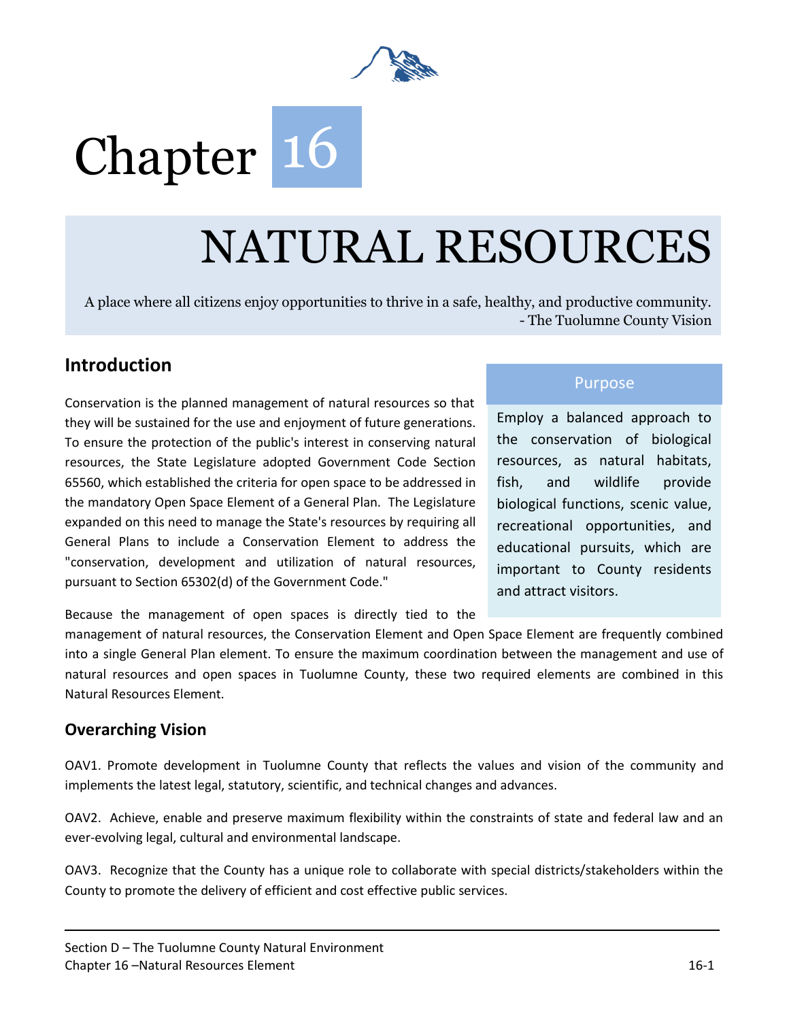

# Chapter 16

## NATURAL RESOURCES

A place where all citizens enjoy opportunities to thrive in a safe, healthy, and productive community. - The Tuolumne County Vision

## **Introduction**

Conservation is the planned management of natural resources so that they will be sustained for the use and enjoyment of future generations. To ensure the protection of the public's interest in conserving natural resources, the State Legislature adopted Government Code Section 65560, which established the criteria for open space to be addressed in the mandatory Open Space Element of a General Plan. The Legislature expanded on this need to manage the State's resources by requiring all General Plans to include a Conservation Element to address the "conservation, development and utilization of natural resources, pursuant to Section 65302(d) of the Government Code."

#### Purpose

Employ a balanced approach to the conservation of biological resources, as natural habitats, fish, and wildlife provide biological functions, scenic value, recreational opportunities, and educational pursuits, which are important to County residents and attract visitors.

Because the management of open spaces is directly tied to the

management of natural resources, the Conservation Element and Open Space Element are frequently combined into a single General Plan element. To ensure the maximum coordination between the management and use of natural resources and open spaces in Tuolumne County, these two required elements are combined in this Natural Resources Element.

### **Overarching Vision**

OAV1. Promote development in Tuolumne County that reflects the values and vision of the community and implements the latest legal, statutory, scientific, and technical changes and advances.

OAV2. Achieve, enable and preserve maximum flexibility within the constraints of state and federal law and an ever-evolving legal, cultural and environmental landscape.

OAV3. Recognize that the County has a unique role to collaborate with special districts/stakeholders within the County to promote the delivery of efficient and cost effective public services.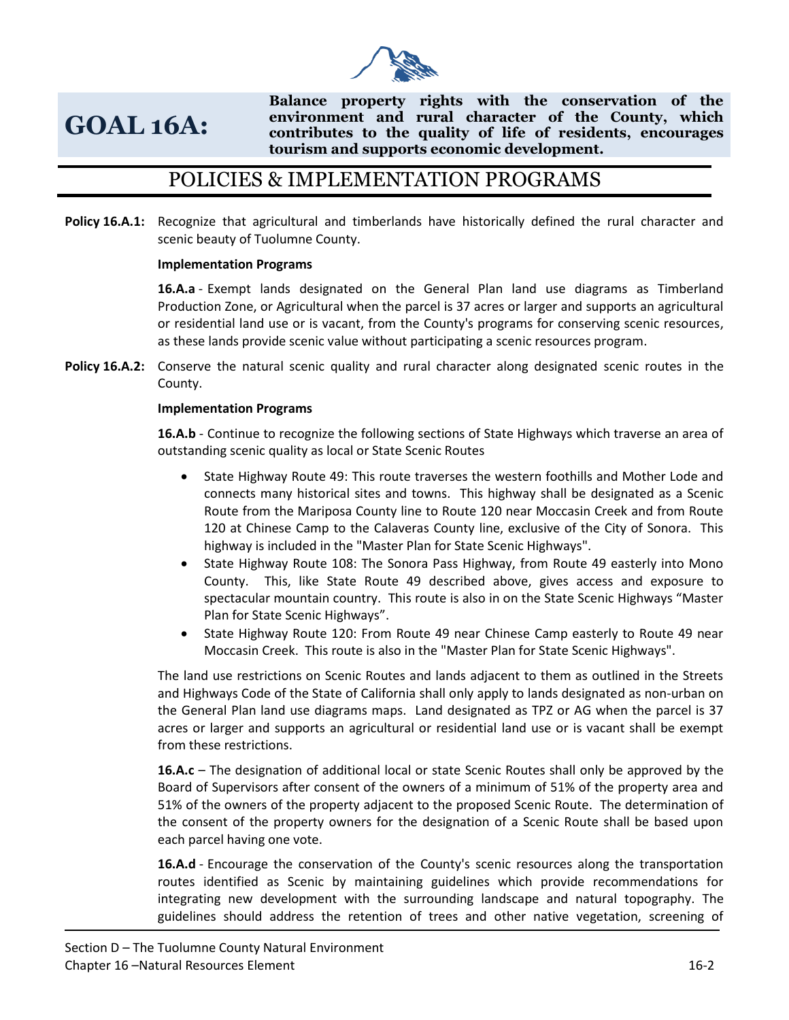

## **GOAL 16A:**

**Balance property rights with the conservation of the environment and rural character of the County, which contributes to the quality of life of residents, encourages tourism and supports economic development.**

## POLICIES & IMPLEMENTATION PROGRAMS

**Policy 16.A.1:** Recognize that agricultural and timberlands have historically defined the rural character and scenic beauty of Tuolumne County.

#### **Implementation Programs**

**16.A.a** - Exempt lands designated on the General Plan land use diagrams as Timberland Production Zone, or Agricultural when the parcel is 37 acres or larger and supports an agricultural or residential land use or is vacant, from the County's programs for conserving scenic resources, as these lands provide scenic value without participating a scenic resources program.

**Policy 16.A.2:** Conserve the natural scenic quality and rural character along designated scenic routes in the County.

#### **Implementation Programs**

**16.A.b** - Continue to recognize the following sections of State Highways which traverse an area of outstanding scenic quality as local or State Scenic Routes

- State Highway Route 49: This route traverses the western foothills and Mother Lode and connects many historical sites and towns. This highway shall be designated as a Scenic Route from the Mariposa County line to Route 120 near Moccasin Creek and from Route 120 at Chinese Camp to the Calaveras County line, exclusive of the City of Sonora. This highway is included in the "Master Plan for State Scenic Highways".
- State Highway Route 108: The Sonora Pass Highway, from Route 49 easterly into Mono County. This, like State Route 49 described above, gives access and exposure to spectacular mountain country. This route is also in on the State Scenic Highways "Master Plan for State Scenic Highways".
- State Highway Route 120: From Route 49 near Chinese Camp easterly to Route 49 near Moccasin Creek. This route is also in the "Master Plan for State Scenic Highways".

The land use restrictions on Scenic Routes and lands adjacent to them as outlined in the Streets and Highways Code of the State of California shall only apply to lands designated as non-urban on the General Plan land use diagrams maps. Land designated as TPZ or AG when the parcel is 37 acres or larger and supports an agricultural or residential land use or is vacant shall be exempt from these restrictions.

**16.A.c** – The designation of additional local or state Scenic Routes shall only be approved by the Board of Supervisors after consent of the owners of a minimum of 51% of the property area and 51% of the owners of the property adjacent to the proposed Scenic Route. The determination of the consent of the property owners for the designation of a Scenic Route shall be based upon each parcel having one vote.

**16.A.d** - Encourage the conservation of the County's scenic resources along the transportation routes identified as Scenic by maintaining guidelines which provide recommendations for integrating new development with the surrounding landscape and natural topography. The guidelines should address the retention of trees and other native vegetation, screening of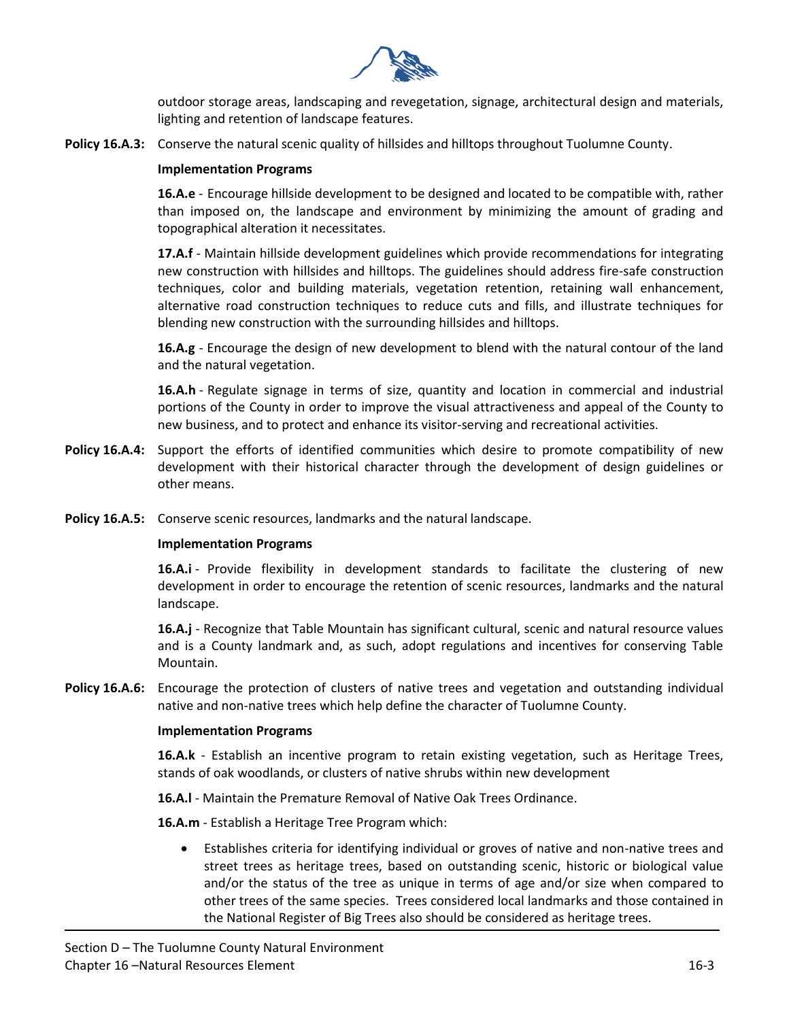

outdoor storage areas, landscaping and revegetation, signage, architectural design and materials, lighting and retention of landscape features.

**Policy 16.A.3:** Conserve the natural scenic quality of hillsides and hilltops throughout Tuolumne County.

#### **Implementation Programs**

**16.A.e** - Encourage hillside development to be designed and located to be compatible with, rather than imposed on, the landscape and environment by minimizing the amount of grading and topographical alteration it necessitates.

**17.A.f** - Maintain hillside development guidelines which provide recommendations for integrating new construction with hillsides and hilltops. The guidelines should address fire-safe construction techniques, color and building materials, vegetation retention, retaining wall enhancement, alternative road construction techniques to reduce cuts and fills, and illustrate techniques for blending new construction with the surrounding hillsides and hilltops.

**16.A.g** - Encourage the design of new development to blend with the natural contour of the land and the natural vegetation.

**16.A.h** - Regulate signage in terms of size, quantity and location in commercial and industrial portions of the County in order to improve the visual attractiveness and appeal of the County to new business, and to protect and enhance its visitor-serving and recreational activities.

- **Policy 16.A.4:** Support the efforts of identified communities which desire to promote compatibility of new development with their historical character through the development of design guidelines or other means.
- **Policy 16.A.5:** Conserve scenic resources, landmarks and the natural landscape.

#### **Implementation Programs**

**16.A.i** - Provide flexibility in development standards to facilitate the clustering of new development in order to encourage the retention of scenic resources, landmarks and the natural landscape.

**16.A.j** - Recognize that Table Mountain has significant cultural, scenic and natural resource values and is a County landmark and, as such, adopt regulations and incentives for conserving Table Mountain.

**Policy 16.A.6:** Encourage the protection of clusters of native trees and vegetation and outstanding individual native and non-native trees which help define the character of Tuolumne County.

#### **Implementation Programs**

**16.A.k** - Establish an incentive program to retain existing vegetation, such as Heritage Trees, stands of oak woodlands, or clusters of native shrubs within new development

**16.A.l** - Maintain the Premature Removal of Native Oak Trees Ordinance.

**16.A.m** - Establish a Heritage Tree Program which:

• Establishes criteria for identifying individual or groves of native and non-native trees and street trees as heritage trees, based on outstanding scenic, historic or biological value and/or the status of the tree as unique in terms of age and/or size when compared to other trees of the same species. Trees considered local landmarks and those contained in the National Register of Big Trees also should be considered as heritage trees.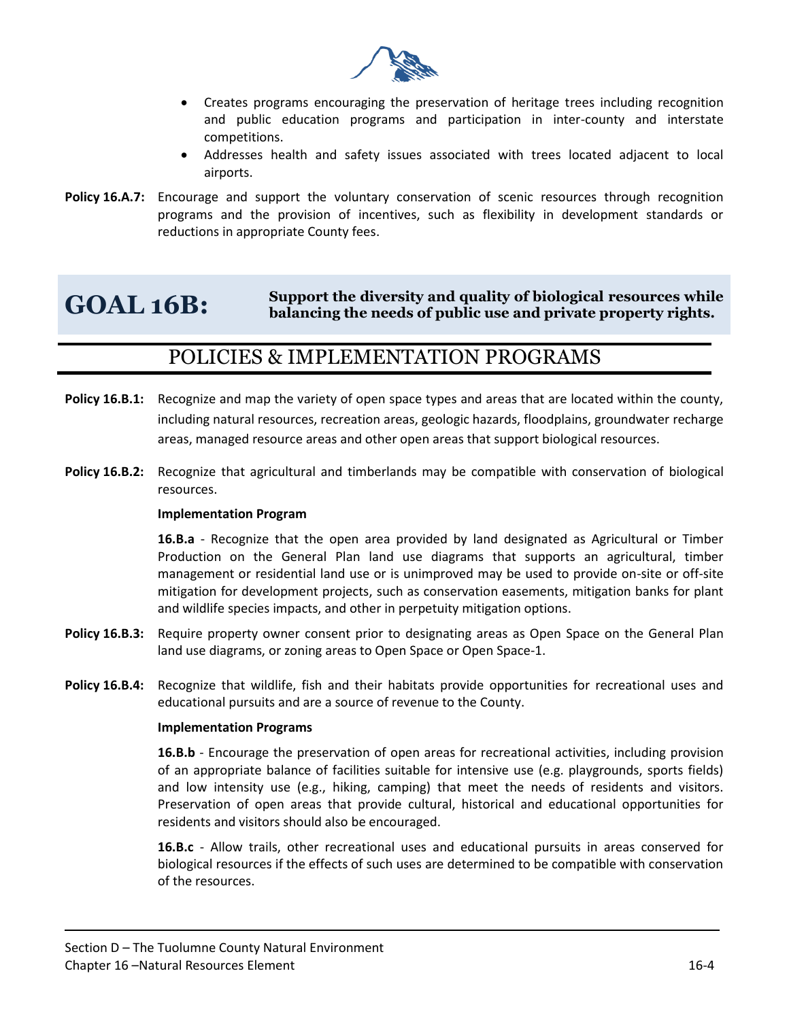

- Creates programs encouraging the preservation of heritage trees including recognition and public education programs and participation in inter-county and interstate competitions.
- Addresses health and safety issues associated with trees located adjacent to local airports.
- **Policy 16.A.7:** Encourage and support the voluntary conservation of scenic resources through recognition programs and the provision of incentives, such as flexibility in development standards or reductions in appropriate County fees.

#### **GOAL 16B: Support the diversity and quality of biological resources while balancing the needs of public use and private property rights.**

## POLICIES & IMPLEMENTATION PROGRAMS

- Policy 16.B.1: Recognize and map the variety of open space types and areas that are located within the county, including natural resources, recreation areas, geologic hazards, floodplains, groundwater recharge areas, managed resource areas and other open areas that support biological resources.
- **Policy 16.B.2:** Recognize that agricultural and timberlands may be compatible with conservation of biological resources.

#### **Implementation Program**

**16.B.a** - Recognize that the open area provided by land designated as Agricultural or Timber Production on the General Plan land use diagrams that supports an agricultural, timber management or residential land use or is unimproved may be used to provide on-site or off-site mitigation for development projects, such as conservation easements, mitigation banks for plant and wildlife species impacts, and other in perpetuity mitigation options.

- **Policy 16.B.3:** Require property owner consent prior to designating areas as Open Space on the General Plan land use diagrams, or zoning areas to Open Space or Open Space-1.
- **Policy 16.B.4:** Recognize that wildlife, fish and their habitats provide opportunities for recreational uses and educational pursuits and are a source of revenue to the County.

#### **Implementation Programs**

**16.B.b** - Encourage the preservation of open areas for recreational activities, including provision of an appropriate balance of facilities suitable for intensive use (e.g. playgrounds, sports fields) and low intensity use (e.g., hiking, camping) that meet the needs of residents and visitors. Preservation of open areas that provide cultural, historical and educational opportunities for residents and visitors should also be encouraged.

**16.B.c** - Allow trails, other recreational uses and educational pursuits in areas conserved for biological resources if the effects of such uses are determined to be compatible with conservation of the resources.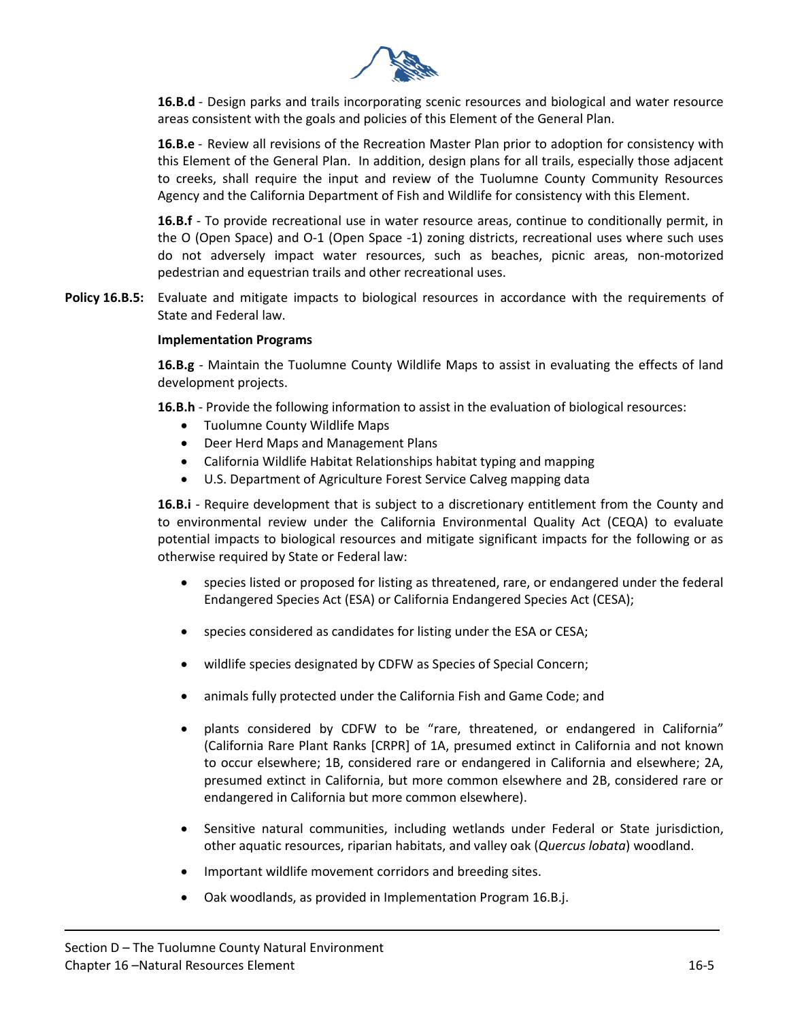

**16.B.d** - Design parks and trails incorporating scenic resources and biological and water resource areas consistent with the goals and policies of this Element of the General Plan.

**16.B.e** - Review all revisions of the Recreation Master Plan prior to adoption for consistency with this Element of the General Plan. In addition, design plans for all trails, especially those adjacent to creeks, shall require the input and review of the Tuolumne County Community Resources Agency and the California Department of Fish and Wildlife for consistency with this Element.

**16.B.f** - To provide recreational use in water resource areas, continue to conditionally permit, in the O (Open Space) and O-1 (Open Space -1) zoning districts, recreational uses where such uses do not adversely impact water resources, such as beaches, picnic areas, non-motorized pedestrian and equestrian trails and other recreational uses.

**Policy 16.B.5:** Evaluate and mitigate impacts to biological resources in accordance with the requirements of State and Federal law.

#### **Implementation Programs**

**16.B.g** - Maintain the Tuolumne County Wildlife Maps to assist in evaluating the effects of land development projects.

**16.B.h** - Provide the following information to assist in the evaluation of biological resources:

- Tuolumne County Wildlife Maps
- Deer Herd Maps and Management Plans
- California Wildlife Habitat Relationships habitat typing and mapping
- U.S. Department of Agriculture Forest Service Calveg mapping data

**16.B.i** - Require development that is subject to a discretionary entitlement from the County and to environmental review under the California Environmental Quality Act (CEQA) to evaluate potential impacts to biological resources and mitigate significant impacts for the following or as otherwise required by State or Federal law:

- species listed or proposed for listing as threatened, rare, or endangered under the federal Endangered Species Act (ESA) or California Endangered Species Act (CESA);
- species considered as candidates for listing under the ESA or CESA;
- wildlife species designated by CDFW as Species of Special Concern;
- animals fully protected under the California Fish and Game Code; and
- plants considered by CDFW to be "rare, threatened, or endangered in California" (California Rare Plant Ranks [CRPR] of 1A, presumed extinct in California and not known to occur elsewhere; 1B, considered rare or endangered in California and elsewhere; 2A, presumed extinct in California, but more common elsewhere and 2B, considered rare or endangered in California but more common elsewhere).
- Sensitive natural communities, including wetlands under Federal or State jurisdiction, other aquatic resources, riparian habitats, and valley oak (*Quercus lobata*) woodland.
- Important wildlife movement corridors and breeding sites.
- Oak woodlands, as provided in Implementation Program 16.B.j.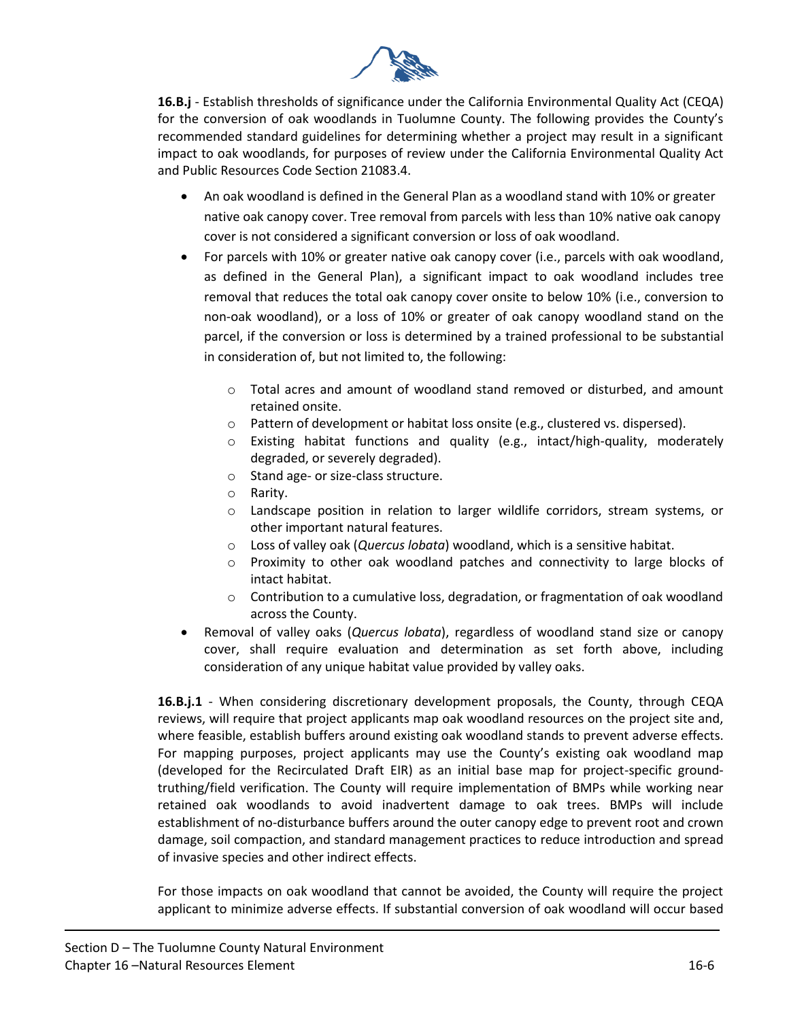

**16.B.j** - Establish thresholds of significance under the California Environmental Quality Act (CEQA) for the conversion of oak woodlands in Tuolumne County. The following provides the County's recommended standard guidelines for determining whether a project may result in a significant impact to oak woodlands, for purposes of review under the California Environmental Quality Act and Public Resources Code Section 21083.4.

- An oak woodland is defined in the General Plan as a woodland stand with 10% or greater native oak canopy cover. Tree removal from parcels with less than 10% native oak canopy cover is not considered a significant conversion or loss of oak woodland.
- For parcels with 10% or greater native oak canopy cover (i.e., parcels with oak woodland, as defined in the General Plan), a significant impact to oak woodland includes tree removal that reduces the total oak canopy cover onsite to below 10% (i.e., conversion to non-oak woodland), or a loss of 10% or greater of oak canopy woodland stand on the parcel, if the conversion or loss is determined by a trained professional to be substantial in consideration of, but not limited to, the following:
	- o Total acres and amount of woodland stand removed or disturbed, and amount retained onsite.
	- o Pattern of development or habitat loss onsite (e.g., clustered vs. dispersed).
	- $\circ$  Existing habitat functions and quality (e.g., intact/high-quality, moderately degraded, or severely degraded).
	- o Stand age- or size-class structure.
	- o Rarity.
	- o Landscape position in relation to larger wildlife corridors, stream systems, or other important natural features.
	- o Loss of valley oak (*Quercus lobata*) woodland, which is a sensitive habitat.
	- o Proximity to other oak woodland patches and connectivity to large blocks of intact habitat.
	- $\circ$  Contribution to a cumulative loss, degradation, or fragmentation of oak woodland across the County.
- Removal of valley oaks (*Quercus lobata*), regardless of woodland stand size or canopy cover, shall require evaluation and determination as set forth above, including consideration of any unique habitat value provided by valley oaks.

**16.B.j.1** - When considering discretionary development proposals, the County, through CEQA reviews, will require that project applicants map oak woodland resources on the project site and, where feasible, establish buffers around existing oak woodland stands to prevent adverse effects. For mapping purposes, project applicants may use the County's existing oak woodland map (developed for the Recirculated Draft EIR) as an initial base map for project-specific groundtruthing/field verification. The County will require implementation of BMPs while working near retained oak woodlands to avoid inadvertent damage to oak trees. BMPs will include establishment of no-disturbance buffers around the outer canopy edge to prevent root and crown damage, soil compaction, and standard management practices to reduce introduction and spread of invasive species and other indirect effects.

For those impacts on oak woodland that cannot be avoided, the County will require the project applicant to minimize adverse effects. If substantial conversion of oak woodland will occur based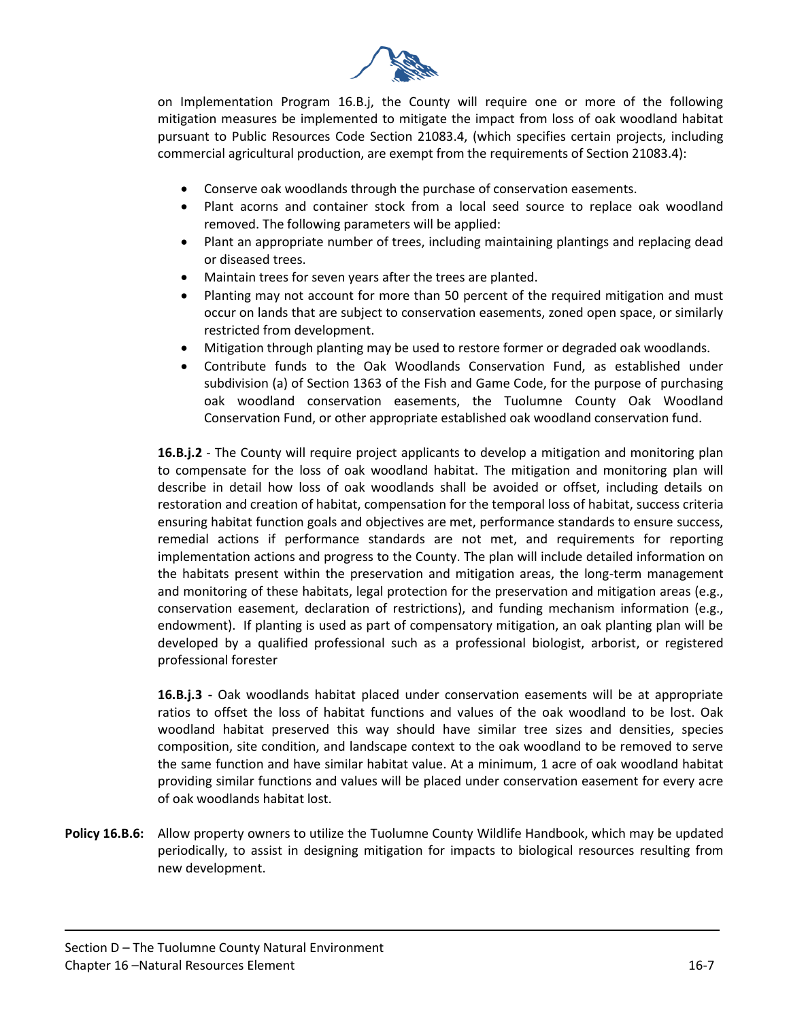

on Implementation Program 16.B.j, the County will require one or more of the following mitigation measures be implemented to mitigate the impact from loss of oak woodland habitat pursuant to Public Resources Code Section 21083.4, (which specifies certain projects, including commercial agricultural production, are exempt from the requirements of Section 21083.4):

- Conserve oak woodlands through the purchase of conservation easements.
- Plant acorns and container stock from a local seed source to replace oak woodland removed. The following parameters will be applied:
- Plant an appropriate number of trees, including maintaining plantings and replacing dead or diseased trees.
- Maintain trees for seven years after the trees are planted.
- Planting may not account for more than 50 percent of the required mitigation and must occur on lands that are subject to conservation easements, zoned open space, or similarly restricted from development.
- Mitigation through planting may be used to restore former or degraded oak woodlands.
- Contribute funds to the Oak Woodlands Conservation Fund, as established under subdivision (a) of Section 1363 of the Fish and Game Code, for the purpose of purchasing oak woodland conservation easements, the Tuolumne County Oak Woodland Conservation Fund, or other appropriate established oak woodland conservation fund.

**16.B.j.2** - The County will require project applicants to develop a mitigation and monitoring plan to compensate for the loss of oak woodland habitat. The mitigation and monitoring plan will describe in detail how loss of oak woodlands shall be avoided or offset, including details on restoration and creation of habitat, compensation for the temporal loss of habitat, success criteria ensuring habitat function goals and objectives are met, performance standards to ensure success, remedial actions if performance standards are not met, and requirements for reporting implementation actions and progress to the County. The plan will include detailed information on the habitats present within the preservation and mitigation areas, the long-term management and monitoring of these habitats, legal protection for the preservation and mitigation areas (e.g., conservation easement, declaration of restrictions), and funding mechanism information (e.g., endowment). If planting is used as part of compensatory mitigation, an oak planting plan will be developed by a qualified professional such as a professional biologist, arborist, or registered professional forester

**16.B.j.3 -** Oak woodlands habitat placed under conservation easements will be at appropriate ratios to offset the loss of habitat functions and values of the oak woodland to be lost. Oak woodland habitat preserved this way should have similar tree sizes and densities, species composition, site condition, and landscape context to the oak woodland to be removed to serve the same function and have similar habitat value. At a minimum, 1 acre of oak woodland habitat providing similar functions and values will be placed under conservation easement for every acre of oak woodlands habitat lost.

**Policy 16.B.6:** Allow property owners to utilize the Tuolumne County Wildlife Handbook, which may be updated periodically, to assist in designing mitigation for impacts to biological resources resulting from new development.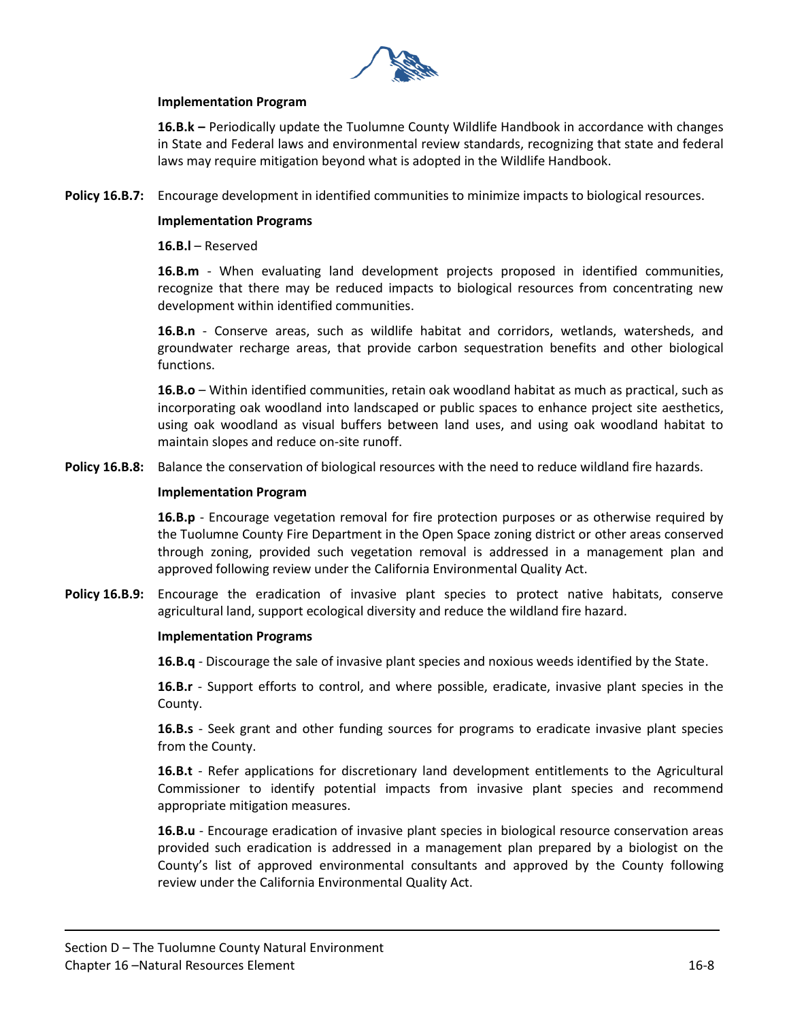

#### **Implementation Program**

**16.B.k –** Periodically update the Tuolumne County Wildlife Handbook in accordance with changes in State and Federal laws and environmental review standards, recognizing that state and federal laws may require mitigation beyond what is adopted in the Wildlife Handbook.

**Policy 16.B.7:** Encourage development in identified communities to minimize impacts to biological resources.

#### **Implementation Programs**

**16.B.l** – Reserved

**16.B.m** - When evaluating land development projects proposed in identified communities, recognize that there may be reduced impacts to biological resources from concentrating new development within identified communities.

**16.B.n** - Conserve areas, such as wildlife habitat and corridors, wetlands, watersheds, and groundwater recharge areas, that provide carbon sequestration benefits and other biological functions.

**16.B.o** – Within identified communities, retain oak woodland habitat as much as practical, such as incorporating oak woodland into landscaped or public spaces to enhance project site aesthetics, using oak woodland as visual buffers between land uses, and using oak woodland habitat to maintain slopes and reduce on-site runoff.

**Policy 16.B.8:** Balance the conservation of biological resources with the need to reduce wildland fire hazards.

#### **Implementation Program**

**16.B.p** - Encourage vegetation removal for fire protection purposes or as otherwise required by the Tuolumne County Fire Department in the Open Space zoning district or other areas conserved through zoning, provided such vegetation removal is addressed in a management plan and approved following review under the California Environmental Quality Act.

**Policy 16.B.9:** Encourage the eradication of invasive plant species to protect native habitats, conserve agricultural land, support ecological diversity and reduce the wildland fire hazard.

#### **Implementation Programs**

**16.B.q** - Discourage the sale of invasive plant species and noxious weeds identified by the State.

**16.B.r** - Support efforts to control, and where possible, eradicate, invasive plant species in the County.

**16.B.s** - Seek grant and other funding sources for programs to eradicate invasive plant species from the County.

**16.B.t** - Refer applications for discretionary land development entitlements to the Agricultural Commissioner to identify potential impacts from invasive plant species and recommend appropriate mitigation measures.

**16.B.u** - Encourage eradication of invasive plant species in biological resource conservation areas provided such eradication is addressed in a management plan prepared by a biologist on the County's list of approved environmental consultants and approved by the County following review under the California Environmental Quality Act.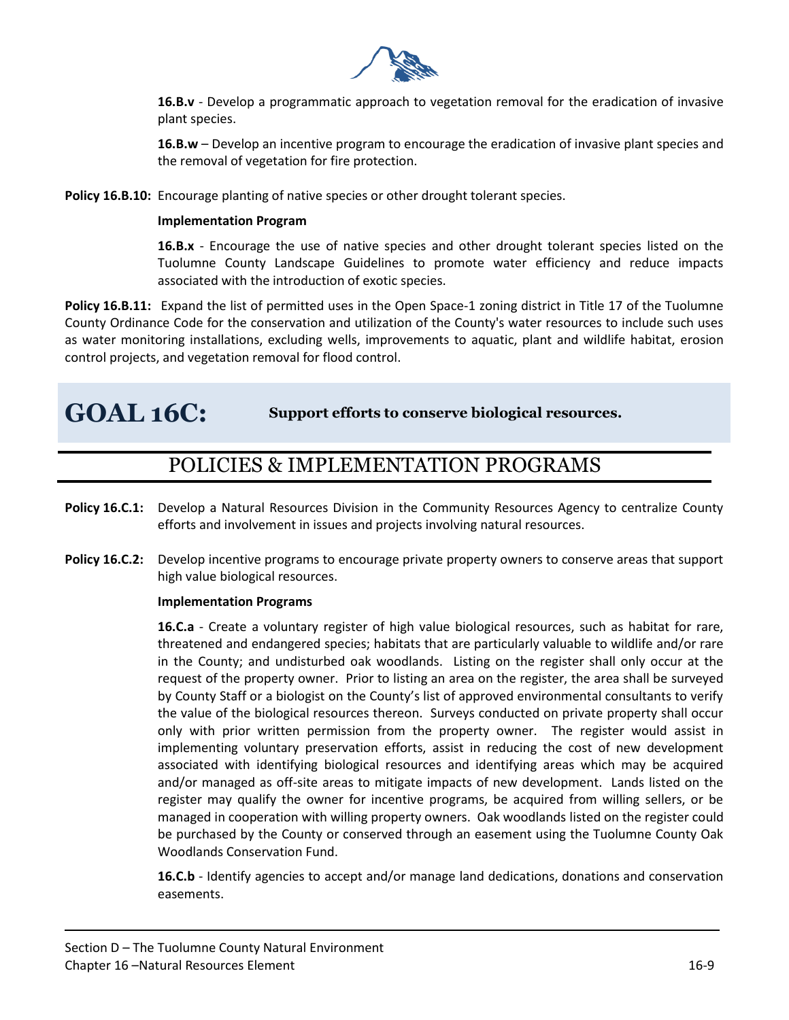

**16.B.v** - Develop a programmatic approach to vegetation removal for the eradication of invasive plant species.

**16.B.w** – Develop an incentive program to encourage the eradication of invasive plant species and the removal of vegetation for fire protection.

**Policy 16.B.10:** Encourage planting of native species or other drought tolerant species.

#### **Implementation Program**

**16.B.x** - Encourage the use of native species and other drought tolerant species listed on the Tuolumne County Landscape Guidelines to promote water efficiency and reduce impacts associated with the introduction of exotic species.

**Policy 16.B.11:** Expand the list of permitted uses in the Open Space-1 zoning district in Title 17 of the Tuolumne County Ordinance Code for the conservation and utilization of the County's water resources to include such uses as water monitoring installations, excluding wells, improvements to aquatic, plant and wildlife habitat, erosion control projects, and vegetation removal for flood control.

**GOAL 16C: Support efforts to conserve biological resources.** 

## POLICIES & IMPLEMENTATION PROGRAMS

- **Policy 16.C.1:** Develop a Natural Resources Division in the Community Resources Agency to centralize County efforts and involvement in issues and projects involving natural resources.
- **Policy 16.C.2:** Develop incentive programs to encourage private property owners to conserve areas that support high value biological resources.

#### **Implementation Programs**

**16.C.a** - Create a voluntary register of high value biological resources, such as habitat for rare, threatened and endangered species; habitats that are particularly valuable to wildlife and/or rare in the County; and undisturbed oak woodlands. Listing on the register shall only occur at the request of the property owner. Prior to listing an area on the register, the area shall be surveyed by County Staff or a biologist on the County's list of approved environmental consultants to verify the value of the biological resources thereon. Surveys conducted on private property shall occur only with prior written permission from the property owner. The register would assist in implementing voluntary preservation efforts, assist in reducing the cost of new development associated with identifying biological resources and identifying areas which may be acquired and/or managed as off-site areas to mitigate impacts of new development. Lands listed on the register may qualify the owner for incentive programs, be acquired from willing sellers, or be managed in cooperation with willing property owners. Oak woodlands listed on the register could be purchased by the County or conserved through an easement using the Tuolumne County Oak Woodlands Conservation Fund.

**16.C.b** - Identify agencies to accept and/or manage land dedications, donations and conservation easements.